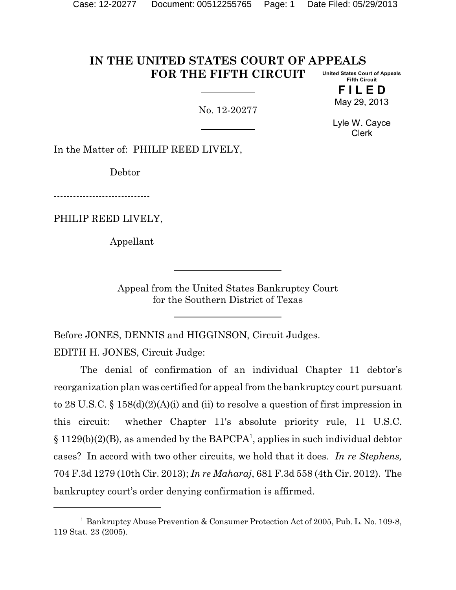#### **IN THE UNITED STATES COURT OF APPEALS FOR THE FIFTH CIRCUIT United States Court of Appeals Fifth Circuit**

No. 12-20277

**F I L E D** May 29, 2013

Lyle W. Cayce Clerk

In the Matter of: PHILIP REED LIVELY,

Debtor

------------------------------

PHILIP REED LIVELY,

Appellant

Appeal from the United States Bankruptcy Court for the Southern District of Texas

Before JONES, DENNIS and HIGGINSON, Circuit Judges. EDITH H. JONES, Circuit Judge:

The denial of confirmation of an individual Chapter 11 debtor's reorganization plan was certified for appeal from the bankruptcy court pursuant to 28 U.S.C. § 158(d)(2)(A)(i) and (ii) to resolve a question of first impression in this circuit: whether Chapter 11's absolute priority rule, 11 U.S.C.  $\S 1129(b)(2)(B)$ , as amended by the BAPCPA<sup>1</sup>, applies in such individual debtor cases? In accord with two other circuits, we hold that it does. *In re Stephens,* 704 F.3d 1279 (10th Cir. 2013); *In re Maharaj*, 681 F.3d 558 (4th Cir. 2012). The bankruptcy court's order denying confirmation is affirmed.

<sup>&</sup>lt;sup>1</sup> Bankruptcy Abuse Prevention & Consumer Protection Act of 2005, Pub. L. No. 109-8, 119 Stat. 23 (2005).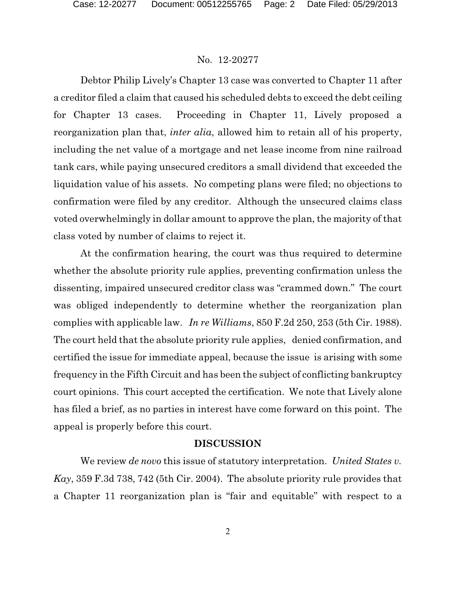Debtor Philip Lively's Chapter 13 case was converted to Chapter 11 after a creditor filed a claim that caused his scheduled debts to exceed the debt ceiling for Chapter 13 cases. Proceeding in Chapter 11, Lively proposed a reorganization plan that, *inter alia*, allowed him to retain all of his property, including the net value of a mortgage and net lease income from nine railroad tank cars, while paying unsecured creditors a small dividend that exceeded the liquidation value of his assets. No competing plans were filed; no objections to confirmation were filed by any creditor. Although the unsecured claims class voted overwhelmingly in dollar amount to approve the plan, the majority of that class voted by number of claims to reject it.

At the confirmation hearing, the court was thus required to determine whether the absolute priority rule applies, preventing confirmation unless the dissenting, impaired unsecured creditor class was "crammed down." The court was obliged independently to determine whether the reorganization plan complies with applicable law. *In re Williams*, 850 F.2d 250, 253 (5th Cir. 1988). The court held that the absolute priority rule applies, denied confirmation, and certified the issue for immediate appeal, because the issue is arising with some frequency in the Fifth Circuit and has been the subject of conflicting bankruptcy court opinions. This court accepted the certification. We note that Lively alone has filed a brief, as no parties in interest have come forward on this point. The appeal is properly before this court.

## **DISCUSSION**

We review *de novo* this issue of statutory interpretation. *United States v. Kay*, 359 F.3d 738, 742 (5th Cir. 2004). The absolute priority rule provides that a Chapter 11 reorganization plan is "fair and equitable" with respect to a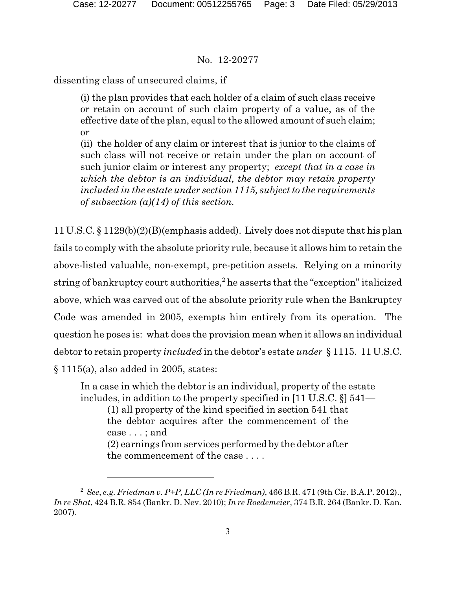dissenting class of unsecured claims, if

(i) the plan provides that each holder of a claim of such class receive or retain on account of such claim property of a value, as of the effective date of the plan, equal to the allowed amount of such claim; or

(ii) the holder of any claim or interest that is junior to the claims of such class will not receive or retain under the plan on account of such junior claim or interest any property; *except that in a case in which the debtor is an individual, the debtor may retain property included in the estate under section 1115, subject to the requirements of subsection (a)(14) of this section.*

11 U.S.C. § 1129(b)(2)(B)(emphasis added). Lively does not dispute that his plan fails to comply with the absolute priority rule, because it allows him to retain the above-listed valuable, non-exempt, pre-petition assets. Relying on a minority string of bankruptcy court authorities,<sup>2</sup> he asserts that the "exception" italicized above, which was carved out of the absolute priority rule when the Bankruptcy Code was amended in 2005, exempts him entirely from its operation. The question he poses is: what does the provision mean when it allows an individual debtor to retain property *included* in the debtor's estate *under* § 1115. 11 U.S.C. § 1115(a), also added in 2005, states:

In a case in which the debtor is an individual, property of the estate includes, in addition to the property specified in [11 U.S.C. §] 541—

(1) all property of the kind specified in section 541 that the debtor acquires after the commencement of the case . . . ; and (2) earnings from services performed by the debtor after

the commencement of the case . . . .

<sup>2</sup> *See*, *e.g. Friedman v. P+P, LLC (In re Friedman)*, 466 B.R. 471 (9th Cir. B.A.P. 2012)., *In re Shat*, 424 B.R. 854 (Bankr. D. Nev. 2010); *In re Roedemeier*, 374 B.R. 264 (Bankr. D. Kan. 2007).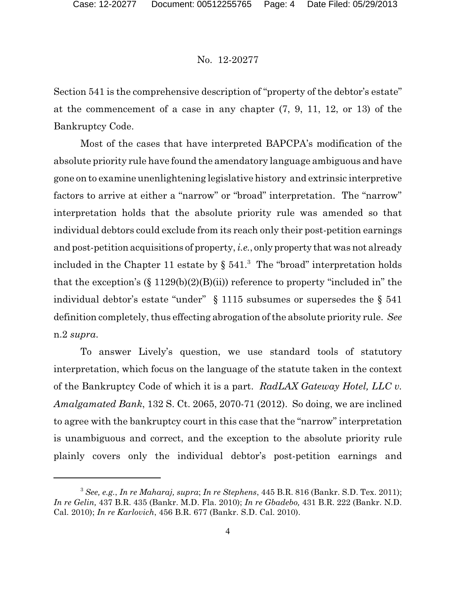Section 541 is the comprehensive description of "property of the debtor's estate" at the commencement of a case in any chapter (7, 9, 11, 12, or 13) of the Bankruptcy Code.

Most of the cases that have interpreted BAPCPA's modification of the absolute priority rule have found the amendatory language ambiguous and have gone on to examine unenlightening legislative history and extrinsic interpretive factors to arrive at either a "narrow" or "broad" interpretation. The "narrow" interpretation holds that the absolute priority rule was amended so that individual debtors could exclude from its reach only their post-petition earnings and post-petition acquisitions of property, *i.e.*, only property that was not already included in the Chapter 11 estate by  $\S$  541.<sup>3</sup> The "broad" interpretation holds that the exception's  $(\S 1129(b)(2)(B)(ii))$  reference to property "included in" the individual debtor's estate "under" § 1115 subsumes or supersedes the § 541 definition completely, thus effecting abrogation of the absolute priority rule. *See* n.2 *supra*.

To answer Lively's question, we use standard tools of statutory interpretation, which focus on the language of the statute taken in the context of the Bankruptcy Code of which it is a part. *RadLAX Gateway Hotel, LLC v. Amalgamated Bank*, 132 S. Ct. 2065, 2070-71 (2012). So doing, we are inclined to agree with the bankruptcy court in this case that the "narrow" interpretation is unambiguous and correct, and the exception to the absolute priority rule plainly covers only the individual debtor's post-petition earnings and

<sup>3</sup> *See, e.g.*, *In re Maharaj, supra*; *In re Stephens*, 445 B.R. 816 (Bankr. S.D. Tex. 2011); *In re Gelin,* 437 B.R. 435 (Bankr. M.D. Fla. 2010); *In re Gbadebo,* 431 B.R. 222 (Bankr. N.D. Cal. 2010); *In re Karlovich*, 456 B.R. 677 (Bankr. S.D. Cal. 2010).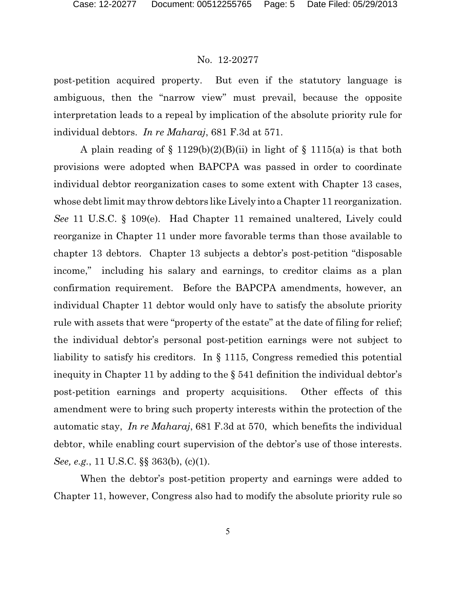post-petition acquired property. But even if the statutory language is ambiguous, then the "narrow view" must prevail, because the opposite interpretation leads to a repeal by implication of the absolute priority rule for individual debtors. *In re Maharaj*, 681 F.3d at 571.

A plain reading of  $\S 1129(b)(2)(B)(ii)$  in light of  $\S 1115(a)$  is that both provisions were adopted when BAPCPA was passed in order to coordinate individual debtor reorganization cases to some extent with Chapter 13 cases, whose debt limit may throw debtors like Lively into a Chapter 11 reorganization. *See* 11 U.S.C. § 109(e). Had Chapter 11 remained unaltered, Lively could reorganize in Chapter 11 under more favorable terms than those available to chapter 13 debtors. Chapter 13 subjects a debtor's post-petition "disposable income," including his salary and earnings, to creditor claims as a plan confirmation requirement. Before the BAPCPA amendments, however, an individual Chapter 11 debtor would only have to satisfy the absolute priority rule with assets that were "property of the estate" at the date of filing for relief; the individual debtor's personal post-petition earnings were not subject to liability to satisfy his creditors. In § 1115, Congress remedied this potential inequity in Chapter 11 by adding to the § 541 definition the individual debtor's post-petition earnings and property acquisitions. Other effects of this amendment were to bring such property interests within the protection of the automatic stay, *In re Maharaj*, 681 F.3d at 570, which benefits the individual debtor, while enabling court supervision of the debtor's use of those interests. *See, e.g.*, 11 U.S.C. §§ 363(b), (c)(1).

When the debtor's post-petition property and earnings were added to Chapter 11, however, Congress also had to modify the absolute priority rule so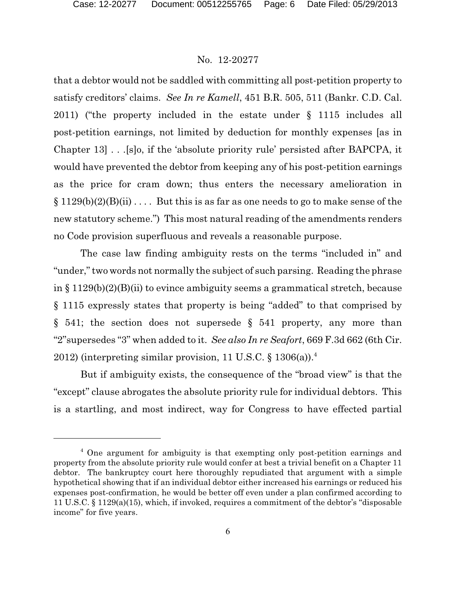that a debtor would not be saddled with committing all post-petition property to satisfy creditors' claims. *See In re Kamell*, 451 B.R. 505, 511 (Bankr. C.D. Cal. 2011) ("the property included in the estate under § 1115 includes all post-petition earnings, not limited by deduction for monthly expenses [as in Chapter 13] . . .[s]o, if the 'absolute priority rule' persisted after BAPCPA, it would have prevented the debtor from keeping any of his post-petition earnings as the price for cram down; thus enters the necessary amelioration in  $\S 1129(b)(2)(B(ii))$ ... But this is as far as one needs to go to make sense of the new statutory scheme.") This most natural reading of the amendments renders no Code provision superfluous and reveals a reasonable purpose.

The case law finding ambiguity rests on the terms "included in" and "under," two words not normally the subject of such parsing. Reading the phrase in § 1129(b)(2)(B)(ii) to evince ambiguity seems a grammatical stretch, because § 1115 expressly states that property is being "added" to that comprised by  $\S$  541; the section does not supersede  $\S$  541 property, any more than "2"supersedes "3" when added to it. *See also In re Seafort*, 669 F.3d 662 (6th Cir. 2012) (interpreting similar provision, 11 U.S.C.  $\frac{1306(a)}{a}$ 

But if ambiguity exists, the consequence of the "broad view" is that the "except" clause abrogates the absolute priority rule for individual debtors. This is a startling, and most indirect, way for Congress to have effected partial

<sup>&</sup>lt;sup>4</sup> One argument for ambiguity is that exempting only post-petition earnings and property from the absolute priority rule would confer at best a trivial benefit on a Chapter 11 debtor. The bankruptcy court here thoroughly repudiated that argument with a simple hypothetical showing that if an individual debtor either increased his earnings or reduced his expenses post-confirmation, he would be better off even under a plan confirmed according to 11 U.S.C. § 1129(a)(15), which, if invoked, requires a commitment of the debtor's "disposable income" for five years.